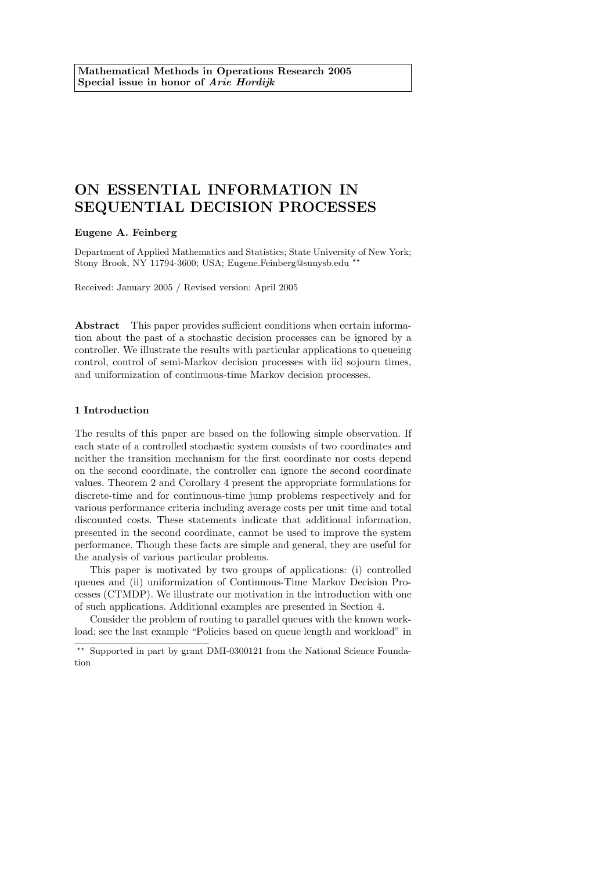# ON ESSENTIAL INFORMATION IN SEQUENTIAL DECISION PROCESSES

# Eugene A. Feinberg

Department of Applied Mathematics and Statistics; State University of New York; Stony Brook, NY 11794-3600; USA; Eugene.Feinberg@sunysb.edu \*

Received: January 2005 / Revised version: April 2005

Abstract This paper provides sufficient conditions when certain information about the past of a stochastic decision processes can be ignored by a controller. We illustrate the results with particular applications to queueing control, control of semi-Markov decision processes with iid sojourn times, and uniformization of continuous-time Markov decision processes.

## 1 Introduction

The results of this paper are based on the following simple observation. If each state of a controlled stochastic system consists of two coordinates and neither the transition mechanism for the first coordinate nor costs depend on the second coordinate, the controller can ignore the second coordinate values. Theorem 2 and Corollary 4 present the appropriate formulations for discrete-time and for continuous-time jump problems respectively and for various performance criteria including average costs per unit time and total discounted costs. These statements indicate that additional information, presented in the second coordinate, cannot be used to improve the system performance. Though these facts are simple and general, they are useful for the analysis of various particular problems.

This paper is motivated by two groups of applications: (i) controlled queues and (ii) uniformization of Continuous-Time Markov Decision Processes (CTMDP). We illustrate our motivation in the introduction with one of such applications. Additional examples are presented in Section 4.

Consider the problem of routing to parallel queues with the known workload; see the last example "Policies based on queue length and workload" in

 $\star\star$  Supported in part by grant DMI-0300121 from the National Science Foundation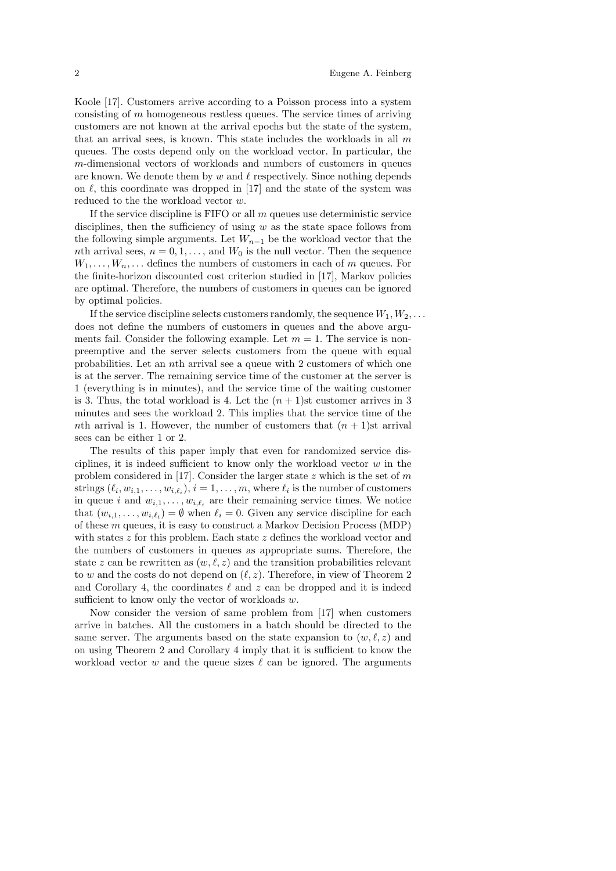Koole [17]. Customers arrive according to a Poisson process into a system consisting of  $m$  homogeneous restless queues. The service times of arriving customers are not known at the arrival epochs but the state of the system, that an arrival sees, is known. This state includes the workloads in all  $m$ queues. The costs depend only on the workload vector. In particular, the m-dimensional vectors of workloads and numbers of customers in queues are known. We denote them by  $w$  and  $\ell$  respectively. Since nothing depends on  $\ell$ , this coordinate was dropped in [17] and the state of the system was reduced to the the workload vector w.

If the service discipline is  $FIFO$  or all  $m$  queues use deterministic service disciplines, then the sufficiency of using  $w$  as the state space follows from the following simple arguments. Let  $W_{n-1}$  be the workload vector that the nth arrival sees,  $n = 0, 1, \ldots$ , and  $W_0$  is the null vector. Then the sequence  $W_1, \ldots, W_n, \ldots$  defines the numbers of customers in each of m queues. For the finite-horizon discounted cost criterion studied in [17], Markov policies are optimal. Therefore, the numbers of customers in queues can be ignored by optimal policies.

If the service discipline selects customers randomly, the sequence  $W_1, W_2, \ldots$ does not define the numbers of customers in queues and the above arguments fail. Consider the following example. Let  $m = 1$ . The service is nonpreemptive and the server selects customers from the queue with equal probabilities. Let an nth arrival see a queue with 2 customers of which one is at the server. The remaining service time of the customer at the server is 1 (everything is in minutes), and the service time of the waiting customer is 3. Thus, the total workload is 4. Let the  $(n + 1)$ st customer arrives in 3 minutes and sees the workload 2. This implies that the service time of the nth arrival is 1. However, the number of customers that  $(n + 1)$ st arrival sees can be either 1 or 2.

The results of this paper imply that even for randomized service disciplines, it is indeed sufficient to know only the workload vector  $w$  in the problem considered in [17]. Consider the larger state  $z$  which is the set of  $m$ strings  $(\ell_i, w_{i,1}, \ldots, w_{i,\ell_i}), i = 1, \ldots, m$ , where  $\ell_i$  is the number of customers in queue i and  $w_{i,1}, \ldots, w_{i,\ell_i}$  are their remaining service times. We notice that  $(w_{i,1}, \ldots, w_{i,\ell_i}) = \emptyset$  when  $\ell_i = 0$ . Given any service discipline for each of these m queues, it is easy to construct a Markov Decision Process (MDP) with states  $z$  for this problem. Each state  $z$  defines the workload vector and the numbers of customers in queues as appropriate sums. Therefore, the state z can be rewritten as  $(w, \ell, z)$  and the transition probabilities relevant to w and the costs do not depend on  $(\ell, z)$ . Therefore, in view of Theorem 2 and Corollary 4, the coordinates  $\ell$  and z can be dropped and it is indeed sufficient to know only the vector of workloads  $w$ .

Now consider the version of same problem from [17] when customers arrive in batches. All the customers in a batch should be directed to the same server. The arguments based on the state expansion to  $(w, \ell, z)$  and on using Theorem 2 and Corollary 4 imply that it is sufficient to know the workload vector w and the queue sizes  $\ell$  can be ignored. The arguments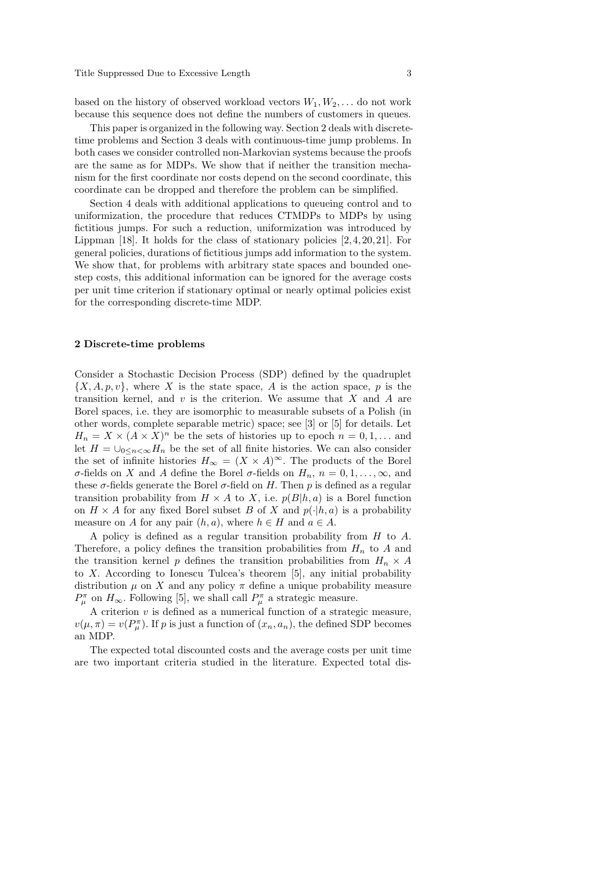based on the history of observed workload vectors  $W_1, W_2, \ldots$  do not work because this sequence does not define the numbers of customers in queues.

This paper is organized in the following way. Section 2 deals with discretetime problems and Section 3 deals with continuous-time jump problems. In both cases we consider controlled non-Markovian systems because the proofs are the same as for MDPs. We show that if neither the transition mechanism for the first coordinate nor costs depend on the second coordinate, this coordinate can be dropped and therefore the problem can be simplified.

Section 4 deals with additional applications to queueing control and to uniformization, the procedure that reduces CTMDPs to MDPs by using fictitious jumps. For such a reduction, uniformization was introduced by Lippman  $[18]$ . It holds for the class of stationary policies  $[2, 4, 20, 21]$ . For general policies, durations of fictitious jumps add information to the system. We show that, for problems with arbitrary state spaces and bounded onestep costs, this additional information can be ignored for the average costs per unit time criterion if stationary optimal or nearly optimal policies exist for the corresponding discrete-time MDP.

#### 2 Discrete-time problems

Consider a Stochastic Decision Process (SDP) defined by the quadruplet  $\{X, A, p, v\}$ , where X is the state space, A is the action space, p is the transition kernel, and  $v$  is the criterion. We assume that  $X$  and  $A$  are Borel spaces, i.e. they are isomorphic to measurable subsets of a Polish (in other words, complete separable metric) space; see [3] or [5] for details. Let  $H_n = X \times (A \times X)^n$  be the sets of histories up to epoch  $n = 0, 1, \dots$  and let  $H = \bigcup_{0 \leq n < \infty} H_n$  be the set of all finite histories. We can also consider the set of infinite histories  $H_{\infty} = (X \times A)^{\infty}$ . The products of the Borel σ-fields on X and A define the Borel σ-fields on  $H_n$ ,  $n = 0, 1, \ldots, \infty$ , and these  $\sigma$ -fields generate the Borel  $\sigma$ -field on H. Then p is defined as a regular transition probability from  $H \times A$  to X, i.e.  $p(B|h, a)$  is a Borel function on  $H \times A$  for any fixed Borel subset B of X and  $p(\cdot|h, a)$  is a probability measure on A for any pair  $(h, a)$ , where  $h \in H$  and  $a \in A$ .

A policy is defined as a regular transition probability from H to A. Therefore, a policy defines the transition probabilities from  $H_n$  to A and the transition kernel p defines the transition probabilities from  $H_n \times A$ to X. According to Ionescu Tulcea's theorem [5], any initial probability distribution  $\mu$  on X and any policy  $\pi$  define a unique probability measure  $P_{\mu}^{\pi}$  on  $H_{\infty}$ . Following [5], we shall call  $P_{\mu}^{\pi}$  a strategic measure.

A criterion  $v$  is defined as a numerical function of a strategic measure,  $v(\mu, \pi) = v(P_{\mu}^{\pi})$ . If p is just a function of  $(x_n, a_n)$ , the defined SDP becomes an MDP.

The expected total discounted costs and the average costs per unit time are two important criteria studied in the literature. Expected total dis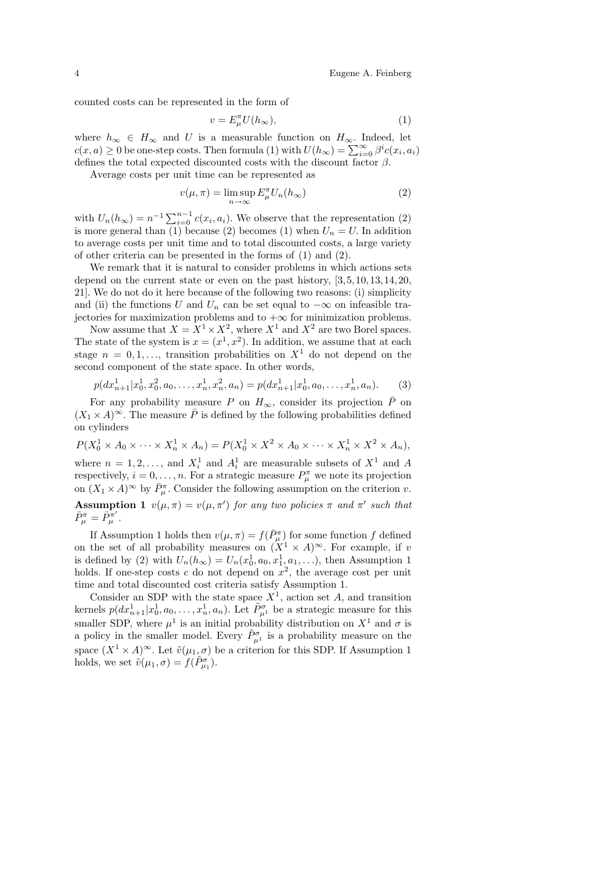counted costs can be represented in the form of

$$
v = E_{\mu}^{\pi} U(h_{\infty}), \tag{1}
$$

where  $h_{\infty} \in H_{\infty}$  and U is a measurable function on  $H_{\infty}$ . Indeed, let  $c(x, a) \geq 0$  be one-step costs. Then formula (1) with  $U(h_{\infty}) = \sum_{i=0}^{\infty} \beta^i c(x_i, a_i)$ defines the total expected discounted costs with the discount factor  $\beta$ .

Average costs per unit time can be represented as

$$
v(\mu, \pi) = \limsup_{n \to \infty} E_{\mu}^{\pi} U_n(h_{\infty})
$$
 (2)

with  $U_n(h_\infty) = n^{-1} \sum_{i=0}^{n-1} c(x_i, a_i)$ . We observe that the representation (2) is more general than (1) because (2) becomes (1) when  $U_n = U$ . In addition to average costs per unit time and to total discounted costs, a large variety of other criteria can be presented in the forms of (1) and (2).

We remark that it is natural to consider problems in which actions sets depend on the current state or even on the past history,  $[3, 5, 10, 13, 14, 20,$ 21]. We do not do it here because of the following two reasons: (i) simplicity and (ii) the functions U and  $U_n$  can be set equal to  $-\infty$  on infeasible trajectories for maximization problems and to  $+\infty$  for minimization problems.

Now assume that  $X = X^1 \times X^2$ , where  $X^1$  and  $X^2$  are two Borel spaces. The state of the system is  $x = (x^1, x^2)$ . In addition, we assume that at each stage  $n = 0, 1, \ldots$ , transition probabilities on  $X^1$  do not depend on the second component of the state space. In other words,

$$
p(dx_{n+1}^1|x_0^1, x_0^2, a_0, \dots, x_n^1, x_n^2, a_n) = p(dx_{n+1}^1|x_0^1, a_0, \dots, x_n^1, a_n).
$$
 (3)

For any probability measure P on  $H_{\infty}$ , consider its projection  $\bar{P}$  on  $(X_1 \times A)^\infty$ . The measure  $\overline{P}$  is defined by the following probabilities defined on cylinders

$$
P(X_0^1 \times A_0 \times \cdots \times X_n^1 \times A_n) = P(X_0^1 \times X^2 \times A_0 \times \cdots \times X_n^1 \times X^2 \times A_n),
$$

where  $n = 1, 2, \ldots$ , and  $X_i^1$  and  $A_i^1$  are measurable subsets of  $X^1$  and A respectively,  $i = 0, \ldots, n$ . For a strategic measure  $P_{\mu}^{\pi}$  we note its projection on  $(X_1 \times A)^\infty$  by  $\overline{P}_{\mu}^{\pi}$ . Consider the following assumption on the criterion v. **Assumption 1**  $v(\mu, \pi) = v(\mu, \pi')$  for any two policies  $\pi$  and  $\pi'$  such that  $\bar{P}^{\pi}_{\mu} = \bar{P}^{\pi'}_{\mu}$  .

If Assumption 1 holds then  $v(\mu, \pi) = f(\bar{P}_{\mu}^{\pi})$  for some function f defined on the set of all probability measures on  $(X^1 \times A)^\infty$ . For example, if v is defined by (2) with  $U_n(h_\infty) = U_n(x_0^1, a_0, x_1^1, a_1, \ldots)$ , then Assumption 1 holds. If one-step costs  $c$  do not depend on  $x^2$ , the average cost per unit time and total discounted cost criteria satisfy Assumption 1.

Consider an SDP with the state space  $X<sup>1</sup>$ , action set A, and transition kernels  $p(dx_{n+1}^1|x_0^1, a_0, \ldots, x_n^1, a_n)$ . Let  $\tilde{P}^{\sigma}_{\mu^1}$  be a strategic measure for this smaller SDP, where  $\mu^1$  is an initial probability distribution on  $X^1$  and  $\sigma$  is a policy in the smaller model. Every  $\tilde{P}^{\sigma}_{\mu^1}$  is a probability measure on the space  $(X^1 \times A)^\infty$ . Let  $\tilde{v}(\mu_1, \sigma)$  be a criterion for this SDP. If Assumption 1 holds, we set  $\tilde{v}(\mu_1, \sigma) = f(\tilde{P}_{\mu_1}^{\sigma}).$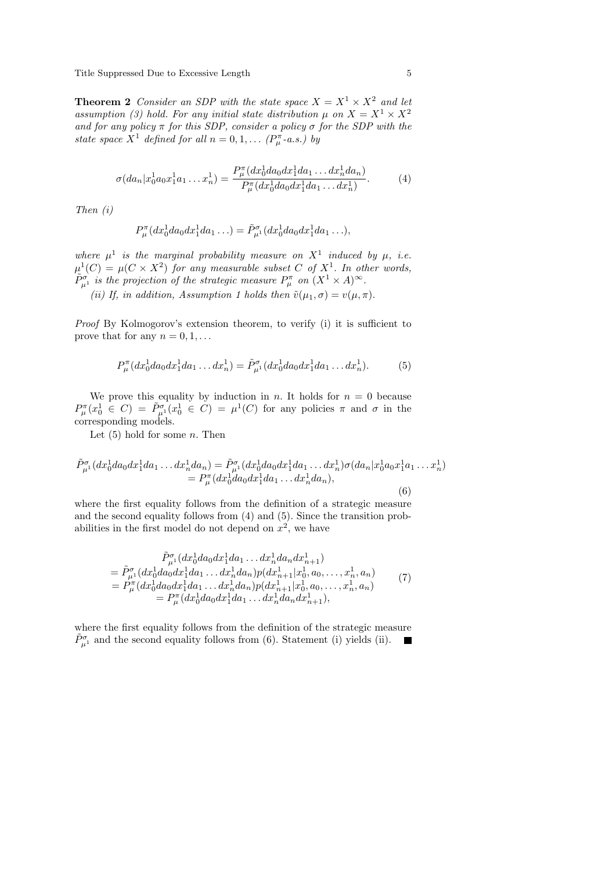Title Suppressed Due to Excessive Length 5

**Theorem 2** Consider an SDP with the state space  $X = X^1 \times X^2$  and let assumption (3) hold. For any initial state distribution  $\mu$  on  $X = X^1 \times X^2$ and for any policy  $\pi$  for this SDP, consider a policy  $\sigma$  for the SDP with the state space  $X^1$  defined for all  $n = 0, 1, \ldots (P_\mu^{\pi} - a.s.)$  by

$$
\sigma(da_n|x_0^1a_0x_1^1a_1...x_n^1) = \frac{P_\mu^\pi(dx_0^1da_0dx_1^1da_1...dx_n^1da_n)}{P_\mu^\pi(dx_0^1da_0dx_1^1da_1...dx_n^1)}.
$$
 (4)

Then (i)

$$
P_{\mu}^{\pi}(dx_0^1 da_0 dx_1^1 da_1 \ldots) = \tilde{P}_{\mu}^{\sigma}(dx_0^1 da_0 dx_1^1 da_1 \ldots),
$$

where  $\mu^1$  is the marginal probability measure on  $X^1$  induced by  $\mu$ , i.e.  $\mu^{1}(C) = \mu(C \times X^{2})$  for any measurable subset C of  $X^{1}$ . In other words,  $\tilde{P}_{\mu^1}^{\sigma}$  is the projection of the strategic measure  $P_{\mu}^{\pi}$  on  $(X^1 \times A)^{\infty}$ .

(ii) If, in addition, Assumption 1 holds then  $\tilde{v}(\mu_1, \sigma) = v(\mu, \pi)$ .

Proof By Kolmogorov's extension theorem, to verify (i) it is sufficient to prove that for any  $n = 0, 1, \ldots$ 

$$
P_{\mu}^{\pi}(dx_0^1 da_0 dx_1^1 da_1 \dots dx_n^1) = \tilde{P}_{\mu}^{\sigma}(dx_0^1 da_0 dx_1^1 da_1 \dots dx_n^1). \tag{5}
$$

We prove this equality by induction in n. It holds for  $n = 0$  because  $P_\mu^{\pi}(x_0^1 \in C) = \tilde{P}_{\mu^1}^{\sigma}(x_0^1 \in C) = \mu^1(C)$  for any policies  $\pi$  and  $\sigma$  in the corresponding models.

Let  $(5)$  hold for some *n*. Then

$$
\tilde{P}^{\sigma}_{\mu^{1}}(dx_{0}^{1}da_{0}dx_{1}^{1}da_{1}...dx_{n}^{1}da_{n}) = \tilde{P}^{\sigma}_{\mu^{1}}(dx_{0}^{1}da_{0}dx_{1}^{1}da_{1}...dx_{n}^{1})\sigma(da_{n}|x_{0}^{1}a_{0}x_{1}^{1}a_{1}...x_{n}^{1})
$$
\n
$$
= P^{\pi}_{\mu}(dx_{0}^{1}da_{0}dx_{1}^{1}da_{1}...dx_{n}^{1}da_{n}),
$$
\n(6)

where the first equality follows from the definition of a strategic measure and the second equality follows from (4) and (5). Since the transition probabilities in the first model do not depend on  $x^2$ , we have

$$
\tilde{P}^{\sigma}_{\mu^{1}}(dx_{0}^{1}da_{0}dx_{1}^{1}da_{1} \dots dx_{n}^{1}da_{n}dx_{n+1}^{1})
$$
\n
$$
= \tilde{P}^{\sigma}_{\mu^{1}}(dx_{0}^{1}da_{0}dx_{1}^{1}da_{1} \dots dx_{n}^{1}da_{n})p(dx_{n+1}^{1}|x_{0}^{1}, a_{0}, \dots, x_{n}^{1}, a_{n})
$$
\n
$$
= P^{\pi}_{\mu}(dx_{0}^{1}da_{0}dx_{1}^{1}da_{1} \dots dx_{n}^{1}da_{n})p(dx_{n+1}^{1}|x_{0}^{1}, a_{0}, \dots, x_{n}^{1}, a_{n})
$$
\n
$$
= P^{\pi}_{\mu}(dx_{0}^{1}da_{0}dx_{1}^{1}da_{1} \dots dx_{n}^{1}da_{n}dx_{n+1}^{1}),
$$
\n(7)

where the first equality follows from the definition of the strategic measure  $\tilde{P}^{\sigma}_{\mu^1}$  and the second equality follows from (6). Statement (i) yields (ii).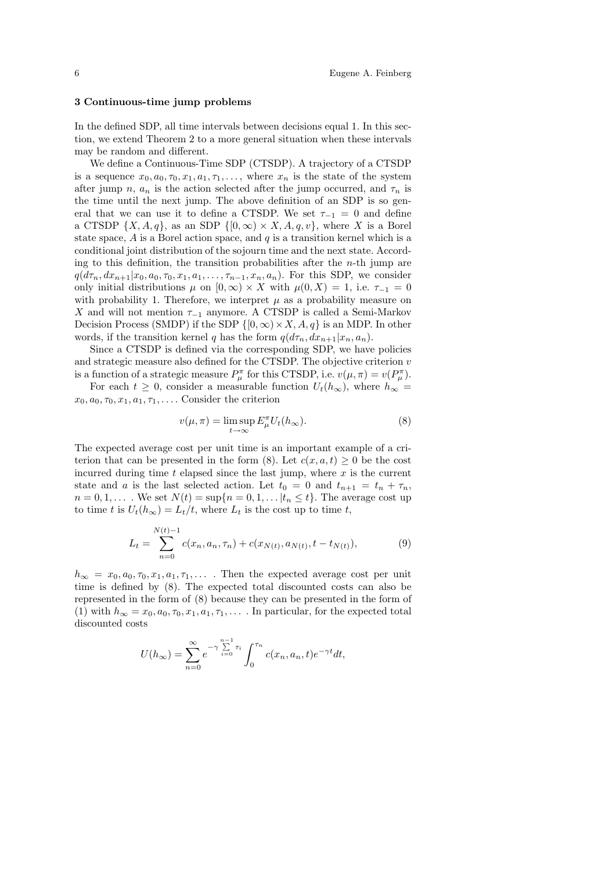#### 3 Continuous-time jump problems

In the defined SDP, all time intervals between decisions equal 1. In this section, we extend Theorem 2 to a more general situation when these intervals may be random and different.

We define a Continuous-Time SDP (CTSDP). A trajectory of a CTSDP is a sequence  $x_0, a_0, \tau_0, x_1, a_1, \tau_1, \ldots$ , where  $x_n$  is the state of the system after jump n,  $a_n$  is the action selected after the jump occurred, and  $\tau_n$  is the time until the next jump. The above definition of an SDP is so general that we can use it to define a CTSDP. We set  $\tau_{-1} = 0$  and define a CTSDP  $\{X, A, q\}$ , as an SDP  $\{[0, \infty) \times X, A, q, v\}$ , where X is a Borel state space,  $A$  is a Borel action space, and  $q$  is a transition kernel which is a conditional joint distribution of the sojourn time and the next state. According to this definition, the transition probabilities after the  $n$ -th jump are  $q(d\tau_n, dx_{n+1}|x_0, a_0, \tau_0, x_1, a_1, \ldots, \tau_{n-1}, x_n, a_n)$ . For this SDP, we consider only initial distributions  $\mu$  on  $[0,\infty) \times X$  with  $\mu(0,X) = 1$ , i.e.  $\tau_{-1} = 0$ with probability 1. Therefore, we interpret  $\mu$  as a probability measure on X and will not mention  $\tau_{-1}$  anymore. A CTSDP is called a Semi-Markov Decision Process (SMDP) if the SDP  $\{[0,\infty)\times X, A, q\}$  is an MDP. In other words, if the transition kernel q has the form  $q(d\tau_n, dx_{n+1}|x_n, a_n)$ .

Since a CTSDP is defined via the corresponding SDP, we have policies and strategic measure also defined for the CTSDP. The objective criterion v is a function of a strategic measure  $P_{\mu}^{\pi}$  for this CTSDP, i.e.  $v(\mu, \pi) = v(P_{\mu}^{\pi})$ .

For each  $t \geq 0$ , consider a measurable function  $U_t(h_\infty)$ , where  $h_\infty =$  $x_0, a_0, \tau_0, x_1, a_1, \tau_1, \ldots$  Consider the criterion

$$
v(\mu, \pi) = \limsup_{t \to \infty} E_{\mu}^{\pi} U_t(h_{\infty}).
$$
 (8)

The expected average cost per unit time is an important example of a criterion that can be presented in the form (8). Let  $c(x, a, t) \geq 0$  be the cost incurred during time  $t$  elapsed since the last jump, where  $x$  is the current state and a is the last selected action. Let  $t_0 = 0$  and  $t_{n+1} = t_n + \tau_n$ ,  $n = 0, 1, \ldots$  We set  $N(t) = \sup\{n = 0, 1, \ldots | t_n \leq t\}$ . The average cost up to time t is  $U_t(h_\infty) = L_t/t$ , where  $L_t$  is the cost up to time t,

$$
L_t = \sum_{n=0}^{N(t)-1} c(x_n, a_n, \tau_n) + c(x_{N(t)}, a_{N(t)}, t - t_{N(t)}),
$$
\n(9)

 $h_{\infty} = x_0, a_0, \tau_0, x_1, a_1, \tau_1, \ldots$ . Then the expected average cost per unit time is defined by (8). The expected total discounted costs can also be represented in the form of (8) because they can be presented in the form of (1) with  $h_{\infty} = x_0, a_0, \tau_0, x_1, a_1, \tau_1, \ldots$  In particular, for the expected total discounted costs

$$
U(h_{\infty}) = \sum_{n=0}^{\infty} e^{-\gamma \sum_{i=0}^{n-1} \tau_i} \int_0^{\tau_n} c(x_n, a_n, t) e^{-\gamma t} dt,
$$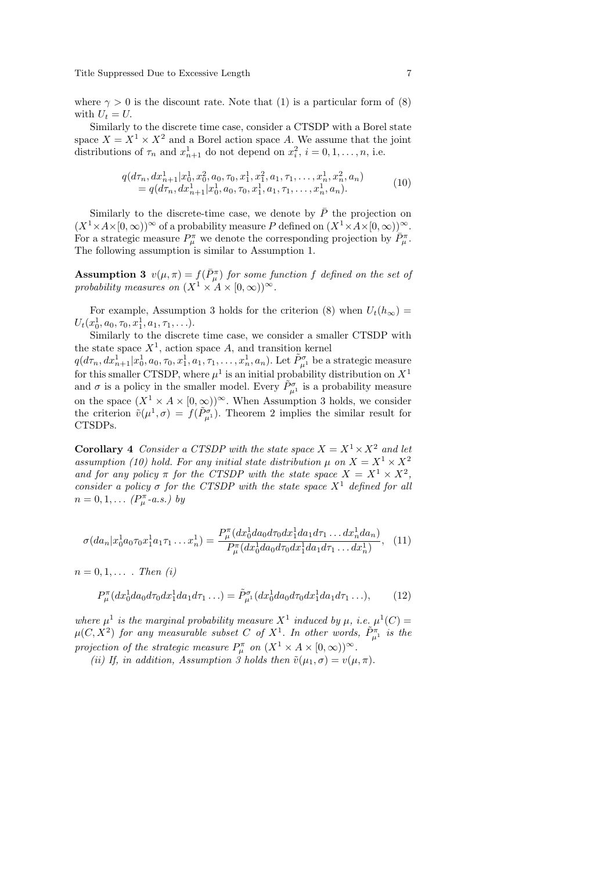where  $\gamma > 0$  is the discount rate. Note that (1) is a particular form of (8) with  $U_t = U$ .

Similarly to the discrete time case, consider a CTSDP with a Borel state space  $X = X^1 \times X^2$  and a Borel action space A. We assume that the joint distributions of  $\tau_n$  and  $x_{n+1}^1$  do not depend on  $x_i^2$ ,  $i = 0, 1, \ldots, n$ , i.e.

$$
q(d\tau_n, dx_{n+1}^1 | x_0^1, x_0^2, a_0, \tau_0, x_1^1, x_1^2, a_1, \tau_1, \dots, x_n^1, x_n^2, a_n)
$$
  
=  $q(d\tau_n, dx_{n+1}^1 | x_0^1, a_0, \tau_0, x_1^1, a_1, \tau_1, \dots, x_n^1, a_n).$  (10)

Similarly to the discrete-time case, we denote by  $\bar{P}$  the projection on  $(X^1\times A\times [0,\infty))^\infty$  of a probability measure P defined on  $(X^1\times A\times [0,\infty))^\infty$ . For a strategic measure  $P_\mu^{\pi}$  we denote the corresponding projection by  $\overline{P}_\mu^{\pi}$ . The following assumption is similar to Assumption 1.

**Assumption 3**  $v(\mu, \pi) = f(\bar{P}_{\mu}^{\pi})$  for some function f defined on the set of probability measures on  $(X^1 \times A \times [0, \infty))^\infty$ .

For example, Assumption 3 holds for the criterion (8) when  $U_t(h_\infty)$  =  $U_t(x_0^1, a_0, \tau_0, x_1^1, a_1, \tau_1, \ldots).$ 

Similarly to the discrete time case, we consider a smaller CTSDP with the state space  $X^1$ , action space A, and transition kernel

 $q(d\tau_n, dx_{n+1}^1 | x_0^1, a_0, \tau_0, x_1^1, a_1, \tau_1, \ldots, x_n^1, a_n)$ . Let  $\tilde{P}^\sigma_{\mu^1}$  be a strategic measure for this smaller CTSDP, where  $\mu^1$  is an initial probability distribution on  $X^1$ and  $\sigma$  is a policy in the smaller model. Every  $\tilde{P}^{\sigma}_{\mu^1}$  is a probability measure on the space  $(X^1 \times A \times [0, \infty))^\infty$ . When Assumption 3 holds, we consider the criterion  $\tilde{v}(\mu^1, \sigma) = f(\tilde{P}_{\mu^1}^{\sigma})$ . Theorem 2 implies the similar result for CTSDPs.

**Corollary 4** Consider a CTSDP with the state space  $X = X^1 \times X^2$  and let assumption (10) hold. For any initial state distribution  $\mu$  on  $X = X^1 \times X^2$ and for any policy  $\pi$  for the CTSDP with the state space  $X = X^1 \times X^2$ , consider a policy  $\sigma$  for the CTSDP with the state space  $X^1$  defined for all  $n = 0, 1, \ldots (P_{\mu}^{\pi} - a.s.)$  by

$$
\sigma(da_n|x_0^1a_0\tau_0x_1^1a_1\tau_1\dots x_n^1) = \frac{P_\mu^\pi(dx_0^1da_0d\tau_0dx_1^1da_1d\tau_1\dots dx_n^1da_n)}{P_\mu^\pi(dx_0^1da_0d\tau_0dx_1^1da_1d\tau_1\dots dx_n^1)},
$$
(11)

 $n = 0, 1, \ldots$  . Then (i)

$$
P_{\mu}^{\pi}(dx_0^1 da_0 d\tau_0 dx_1^1 da_1 d\tau_1 \ldots) = \tilde{P}_{\mu^1}^{\sigma}(dx_0^1 da_0 d\tau_0 dx_1^1 da_1 d\tau_1 \ldots), \tag{12}
$$

where  $\mu^1$  is the marginal probability measure  $X^1$  induced by  $\mu$ , i.e.  $\mu^1(C)$  =  $\mu(C, X^2)$  for any measurable subset C of  $X^1$ . In other words,  $\tilde{P}^{\pi}_{\mu^1}$  is the projection of the strategic measure  $P_{\mu}^{\pi}$  on  $(X^{1} \times A \times [0, \infty))^{\infty}$ .

(ii) If, in addition, Assumption  $\tilde{j}$  holds then  $\tilde{v}(\mu_1, \sigma) = v(\mu, \pi)$ .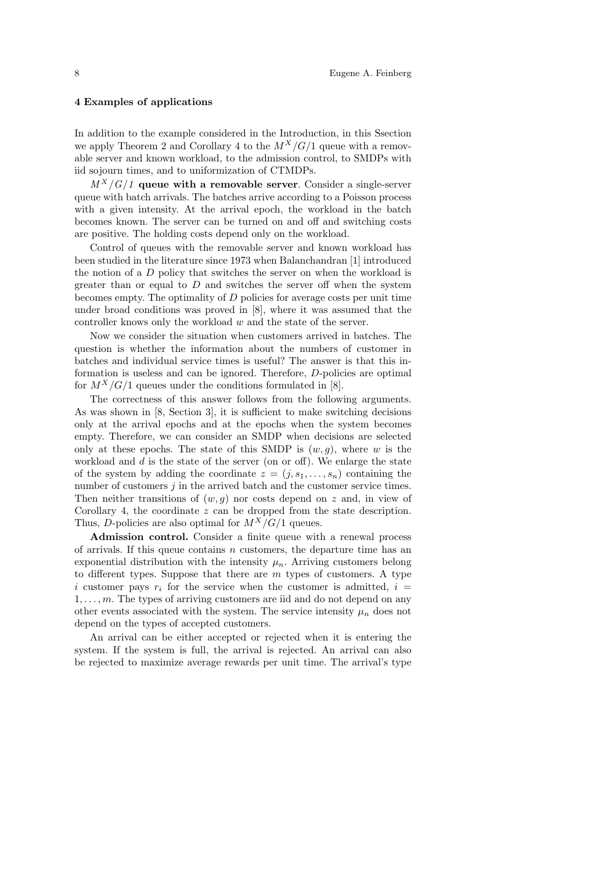## 4 Examples of applications

In addition to the example considered in the Introduction, in this Ssection we apply Theorem 2 and Corollary 4 to the  $M^X/G/1$  queue with a removable server and known workload, to the admission control, to SMDPs with iid sojourn times, and to uniformization of CTMDPs.

 $M^X/G/1$  queue with a removable server. Consider a single-server queue with batch arrivals. The batches arrive according to a Poisson process with a given intensity. At the arrival epoch, the workload in the batch becomes known. The server can be turned on and off and switching costs are positive. The holding costs depend only on the workload.

Control of queues with the removable server and known workload has been studied in the literature since 1973 when Balanchandran [1] introduced the notion of a D policy that switches the server on when the workload is greater than or equal to  $D$  and switches the server off when the system becomes empty. The optimality of  $D$  policies for average costs per unit time under broad conditions was proved in [8], where it was assumed that the controller knows only the workload w and the state of the server.

Now we consider the situation when customers arrived in batches. The question is whether the information about the numbers of customer in batches and individual service times is useful? The answer is that this information is useless and can be ignored. Therefore, D-policies are optimal for  $M^X/G/1$  queues under the conditions formulated in [8].

The correctness of this answer follows from the following arguments. As was shown in [8, Section 3], it is sufficient to make switching decisions only at the arrival epochs and at the epochs when the system becomes empty. Therefore, we can consider an SMDP when decisions are selected only at these epochs. The state of this SMDP is  $(w, q)$ , where w is the workload and  $d$  is the state of the server (on or off). We enlarge the state of the system by adding the coordinate  $z = (j, s_1, \ldots, s_n)$  containing the number of customers  $j$  in the arrived batch and the customer service times. Then neither transitions of  $(w, g)$  nor costs depend on z and, in view of Corollary 4, the coordinate z can be dropped from the state description. Thus, D-policies are also optimal for  $M^X/G/1$  queues.

Admission control. Consider a finite queue with a renewal process of arrivals. If this queue contains  $n$  customers, the departure time has an exponential distribution with the intensity  $\mu_n$ . Arriving customers belong to different types. Suppose that there are  $m$  types of customers. A type i customer pays  $r_i$  for the service when the customer is admitted,  $i =$  $1, \ldots, m$ . The types of arriving customers are iid and do not depend on any other events associated with the system. The service intensity  $\mu_n$  does not depend on the types of accepted customers.

An arrival can be either accepted or rejected when it is entering the system. If the system is full, the arrival is rejected. An arrival can also be rejected to maximize average rewards per unit time. The arrival's type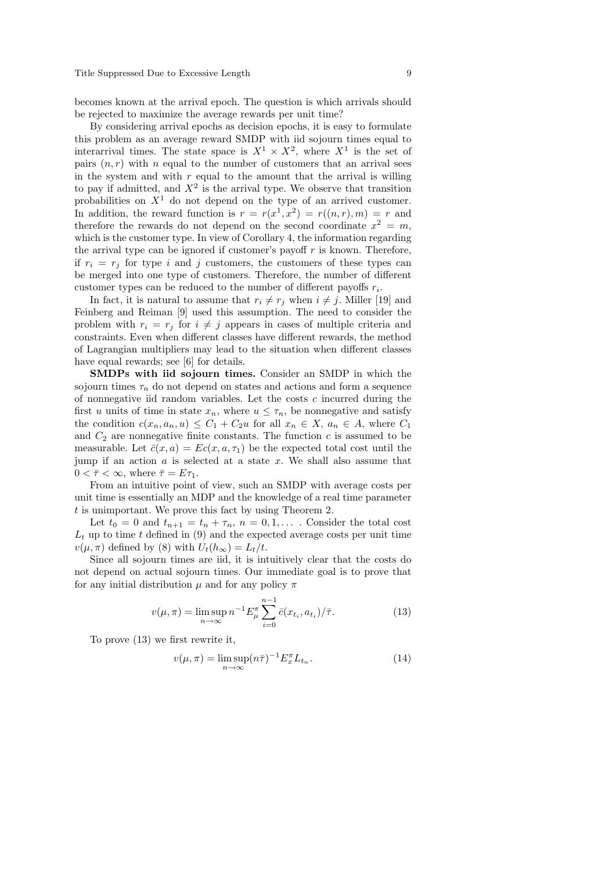becomes known at the arrival epoch. The question is which arrivals should be rejected to maximize the average rewards per unit time?

By considering arrival epochs as decision epochs, it is easy to formulate this problem as an average reward SMDP with iid sojourn times equal to interarrival times. The state space is  $X^1 \times X^2$ , where  $X^1$  is the set of pairs  $(n, r)$  with n equal to the number of customers that an arrival sees in the system and with  $r$  equal to the amount that the arrival is willing to pay if admitted, and  $X^2$  is the arrival type. We observe that transition probabilities on  $X<sup>1</sup>$  do not depend on the type of an arrived customer. In addition, the reward function is  $r = r(x^1, x^2) = r((n, r), m) = r$  and therefore the rewards do not depend on the second coordinate  $x^2 = m$ , which is the customer type. In view of Corollary 4, the information regarding the arrival type can be ignored if customer's payoff  $r$  is known. Therefore, if  $r_i = r_j$  for type i and j customers, the customers of these types can be merged into one type of customers. Therefore, the number of different customer types can be reduced to the number of different payoffs  $r_i$ .

In fact, it is natural to assume that  $r_i \neq r_j$  when  $i \neq j$ . Miller [19] and Feinberg and Reiman [9] used this assumption. The need to consider the problem with  $r_i = r_j$  for  $i \neq j$  appears in cases of multiple criteria and constraints. Even when different classes have different rewards, the method of Lagrangian multipliers may lead to the situation when different classes have equal rewards; see [6] for details.

SMDPs with iid sojourn times. Consider an SMDP in which the sojourn times  $\tau_n$  do not depend on states and actions and form a sequence of nonnegative iid random variables. Let the costs  $c$  incurred during the first u units of time in state  $x_n$ , where  $u \leq \tau_n$ , be nonnegative and satisfy the condition  $c(x_n, a_n, u) \leq C_1 + C_2u$  for all  $x_n \in X$ ,  $a_n \in A$ , where  $C_1$ and  $C_2$  are nonnegative finite constants. The function c is assumed to be measurable. Let  $\bar{c}(x, a) = Ec(x, a, \tau_1)$  be the expected total cost until the jump if an action  $a$  is selected at a state  $x$ . We shall also assume that  $0 < \overline{\tau} < \infty$ , where  $\overline{\tau} = E \tau_1$ .

From an intuitive point of view, such an SMDP with average costs per unit time is essentially an MDP and the knowledge of a real time parameter t is unimportant. We prove this fact by using Theorem 2.

Let  $t_0 = 0$  and  $t_{n+1} = t_n + \tau_n$ ,  $n = 0, 1, \ldots$ . Consider the total cost  $L_t$  up to time t defined in (9) and the expected average costs per unit time  $v(\mu, \pi)$  defined by (8) with  $U_t(h_\infty) = L_t/t$ .

Since all sojourn times are iid, it is intuitively clear that the costs do not depend on actual sojourn times. Our immediate goal is to prove that for any initial distribution  $\mu$  and for any policy  $\pi$ 

$$
v(\mu, \pi) = \limsup_{n \to \infty} n^{-1} E_{\mu}^{\pi} \sum_{i=0}^{n-1} \bar{c}(x_{t_i}, a_{t_i}) / \bar{\tau}.
$$
 (13)

To prove (13) we first rewrite it,

$$
v(\mu, \pi) = \limsup_{n \to \infty} (n\bar{\tau})^{-1} E_x^{\pi} L_{t_n}.
$$
 (14)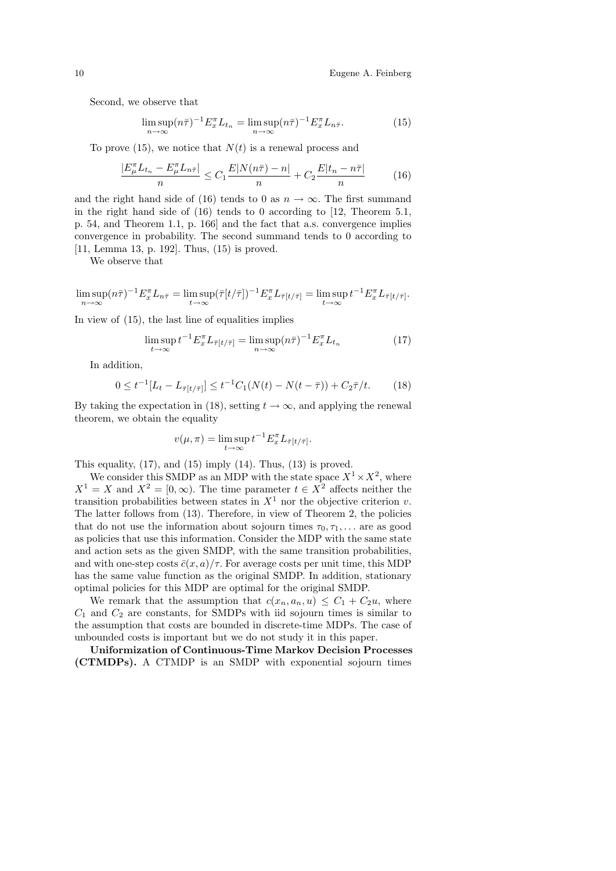Second, we observe that

$$
\limsup_{n \to \infty} (n\bar{\tau})^{-1} E_x^{\pi} L_{t_n} = \limsup_{n \to \infty} (n\bar{\tau})^{-1} E_x^{\pi} L_{n\bar{\tau}}.
$$
\n(15)

To prove (15), we notice that  $N(t)$  is a renewal process and

$$
\frac{|E_{\mu}^{\pi}L_{t_n} - E_{\mu}^{\pi}L_{n\bar{\tau}}|}{n} \le C_1 \frac{E|N(n\bar{\tau}) - n|}{n} + C_2 \frac{E|t_n - n\bar{\tau}|}{n}
$$
(16)

and the right hand side of (16) tends to 0 as  $n \to \infty$ . The first summand in the right hand side of  $(16)$  tends to 0 according to [12, Theorem 5.1, p. 54, and Theorem 1.1, p. 166] and the fact that a.s. convergence implies convergence in probability. The second summand tends to 0 according to [11, Lemma 13, p. 192]. Thus, (15) is proved.

We observe that

 $\limsup_{n\to\infty} (n\bar{\tau})^{-1} E_x^{\pi} L_{n\bar{\tau}} = \limsup_{t\to\infty} (\bar{\tau}[t/\bar{\tau}])^{-1} E_x^{\pi} L_{\bar{\tau}[t/\bar{\tau}]} = \limsup_{t\to\infty} t^{-1} E_x^{\pi} L_{\bar{\tau}[t/\bar{\tau}]}$ 

In view of (15), the last line of equalities implies

$$
\limsup_{t \to \infty} t^{-1} E_x^{\pi} L_{\bar{\tau}[t/\bar{\tau}]} = \limsup_{n \to \infty} (n\bar{\tau})^{-1} E_x^{\pi} L_{t_n}
$$
\n(17)

In addition,

$$
0 \le t^{-1} [L_t - L_{\bar{\tau}[t/\bar{\tau}]}] \le t^{-1} C_1 (N(t) - N(t - \bar{\tau})) + C_2 \bar{\tau}/t. \tag{18}
$$

By taking the expectation in (18), setting  $t \to \infty$ , and applying the renewal theorem, we obtain the equality

$$
v(\mu, \pi) = \limsup_{t \to \infty} t^{-1} E_x^{\pi} L_{\bar{\tau}[t/\bar{\tau}]}.
$$

This equality,  $(17)$ , and  $(15)$  imply  $(14)$ . Thus,  $(13)$  is proved.

We consider this SMDP as an MDP with the state space  $X^1 \times X^2$ , where  $X^1 = X$  and  $X^2 = [0, \infty)$ . The time parameter  $t \in X^2$  affects neither the transition probabilities between states in  $X<sup>1</sup>$  nor the objective criterion v. The latter follows from (13). Therefore, in view of Theorem 2, the policies that do not use the information about sojourn times  $\tau_0, \tau_1, \ldots$  are as good as policies that use this information. Consider the MDP with the same state and action sets as the given SMDP, with the same transition probabilities, and with one-step costs  $\bar{c}(x, a)/\tau$ . For average costs per unit time, this MDP has the same value function as the original SMDP. In addition, stationary optimal policies for this MDP are optimal for the original SMDP.

We remark that the assumption that  $c(x_n, a_n, u) \leq C_1 + C_2 u$ , where  $C_1$  and  $C_2$  are constants, for SMDPs with iid sojourn times is similar to the assumption that costs are bounded in discrete-time MDPs. The case of unbounded costs is important but we do not study it in this paper.

Uniformization of Continuous-Time Markov Decision Processes (CTMDPs). A CTMDP is an SMDP with exponential sojourn times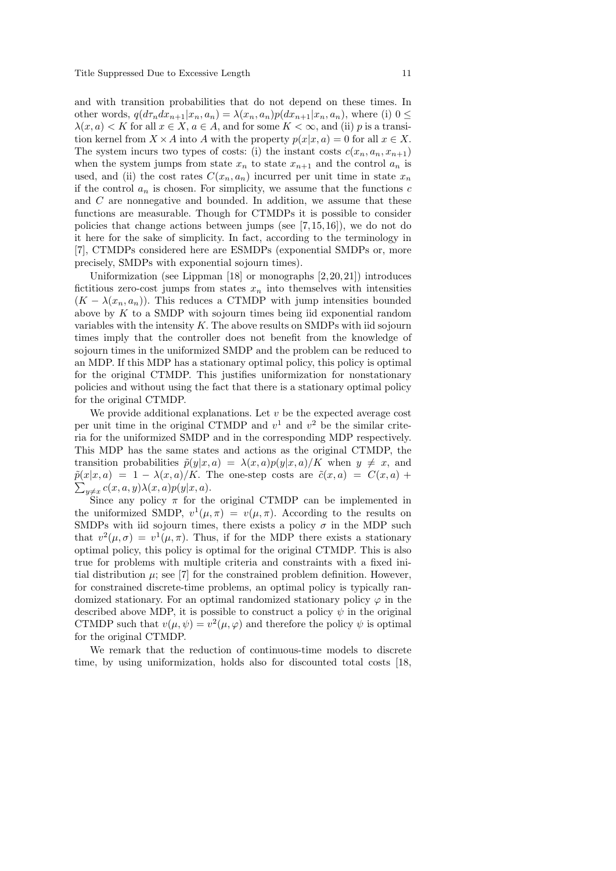and with transition probabilities that do not depend on these times. In other words,  $q(d\tau_n dx_{n+1}|x_n, a_n) = \lambda(x_n, a_n)p(dx_{n+1}|x_n, a_n)$ , where (i)  $0 \le$  $\lambda(x, a) < K$  for all  $x \in X$ ,  $a \in A$ , and for some  $K < \infty$ , and (ii) p is a transition kernel from  $X \times A$  into A with the property  $p(x|x, a) = 0$  for all  $x \in X$ . The system incurs two types of costs: (i) the instant costs  $c(x_n, a_n, x_{n+1})$ when the system jumps from state  $x_n$  to state  $x_{n+1}$  and the control  $a_n$  is used, and (ii) the cost rates  $C(x_n, a_n)$  incurred per unit time in state  $x_n$ if the control  $a_n$  is chosen. For simplicity, we assume that the functions c and C are nonnegative and bounded. In addition, we assume that these functions are measurable. Though for CTMDPs it is possible to consider policies that change actions between jumps (see  $[7, 15, 16]$ ), we do not do it here for the sake of simplicity. In fact, according to the terminology in [7], CTMDPs considered here are ESMDPs (exponential SMDPs or, more precisely, SMDPs with exponential sojourn times).

Uniformization (see Lippman  $[18]$  or monographs  $[2, 20, 21]$ ) introduces fictitious zero-cost jumps from states  $x_n$  into themselves with intensities  $(K - \lambda(x_n, a_n))$ . This reduces a CTMDP with jump intensities bounded above by  $K$  to a SMDP with sojourn times being iid exponential random variables with the intensity  $K$ . The above results on SMDPs with iid sojourn times imply that the controller does not benefit from the knowledge of sojourn times in the uniformized SMDP and the problem can be reduced to an MDP. If this MDP has a stationary optimal policy, this policy is optimal for the original CTMDP. This justifies uniformization for nonstationary policies and without using the fact that there is a stationary optimal policy for the original CTMDP.

We provide additional explanations. Let  $v$  be the expected average cost per unit time in the original CTMDP and  $v<sup>1</sup>$  and  $v<sup>2</sup>$  be the similar criteria for the uniformized SMDP and in the corresponding MDP respectively. This MDP has the same states and actions as the original CTMDP, the transition probabilities  $\tilde{p}(y|x, a) = \lambda(x, a)p(y|x, a)/K$  when  $y \neq x$ , and  $\sum_{y\neq x} c(x, a, y) \lambda(x, a) p(y|x, a).$  $\tilde{p}(x|x, a) = 1 - \lambda(x, a)/K$ . The one-step costs are  $\tilde{c}(x, a) = C(x, a) +$ 

Since any policy  $\pi$  for the original CTMDP can be implemented in the uniformized SMDP,  $v^1(\mu, \pi) = v(\mu, \pi)$ . According to the results on SMDPs with iid sojourn times, there exists a policy  $\sigma$  in the MDP such that  $v^2(\mu, \sigma) = v^1(\mu, \pi)$ . Thus, if for the MDP there exists a stationary optimal policy, this policy is optimal for the original CTMDP. This is also true for problems with multiple criteria and constraints with a fixed initial distribution  $\mu$ ; see [7] for the constrained problem definition. However, for constrained discrete-time problems, an optimal policy is typically randomized stationary. For an optimal randomized stationary policy  $\varphi$  in the described above MDP, it is possible to construct a policy  $\psi$  in the original CTMDP such that  $v(\mu, \psi) = v^2(\mu, \varphi)$  and therefore the policy  $\psi$  is optimal for the original CTMDP.

We remark that the reduction of continuous-time models to discrete time, by using uniformization, holds also for discounted total costs [18,